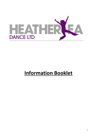

# **Information Booklet**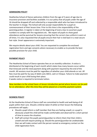#### **ADMISSIONS POLICY**

Heatherlea School of Dance welcomes children from the age of 3 years of age due to insurance provision and facilities available. It is our policy that all pupils under the age of 16 should be dropped off and collected by a responsible adult who has been introduced to the teacher in charge. The School will only accept responsibility for a pupil on commencement of their lesson time. Prior to this time is the responsibility of the parent/guardian. A register is taken at the beginning of every class to ascertain pupil numbers to comply with fire regulations etc. We expect all pupils to show good attendance and be punctual for lessons ensuring that the correct class uniform is worn at all times. It is also requested that all pupils ensure their hair is tied back in a neat secure hair style. Smart appearance is extremely important.

We require details about your child. You are requested to complete the enclosed registration form and sign consents where necessary to enable us to provide the best possible provision for your child.

#### **PAYMENT POLICY**

The Heatherlea School of Dance operates fees on an monthly collection. A notice is distributed at the beginning of each month which states how many lessons occur within that timescale and the total payment along with payment required by the end of the month. All sessions must be paid for regardless of whether your child attends or not. All fees must be paid for by way of debit card, BACS, cash or Cheque. Failure to make payment could result in your child losing their place.

4 weeks notice is required to terminate tuition.

New members to the school have a 4 lesson introduction period where lessons can be paid for on attendance- after this time they will be placed on a monthly payment system.

#### **SICKNESS POLICY**

At the Heatherlea School of Dance staff are committed to health and well-being of all pupils within their care. Should a child be taken ill whilst at their lesson the following procedures will apply :

- Should a pupil inform a staff member that they are feeling unwell, or a pupil is obviously unwell the child will be made comfortable and observed for a short period of time to assess the situation.
- Staff will contact the pupils parent/guardian to inform them that their child is unwell and will require picking up. Should the parent/guardian be unobtainable then we will make contact with the person named as emergency contact on the child registration form.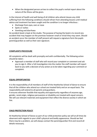When the designated person arrives to collect the pupil a verbal report about the nature of the illness will be given.

In the interest of health and well-being of all children who attend classes any child suffering from the following conditions should refrain from attending lessons until medical advice and treatment has been sought and the condition is no longer infectious :

- Discharge from eyes, ears or nose
- Spots or rashes
- Vomiting and diarrhoea

An accident book is kept at the studio. The purpose of having the book is to record any accident that may happen on the premises however small or trivial they may seem. Should an accident occur the member of staff present will request a signature form the pupils parent/guardian as well as their own signature.

#### **COMPLAINTS PROCEDURE**

All complaints will be dealt with promptly and with confidentially. The following action should be taken :

 Approach a member of staff who will record your complaint or comment and ask you to sign it. After a full investigation into the matter the staff member will report back to you with a decision of any action as to be taken regarding your comment or complaint.

#### **EQUAL OPPORTUNITIES**

It is the responsibility of all members of staff of the Heatherlea School of dance to ensure that all the children who attend our school are treated fairly and on an equal basis. The responsibility will extend to all parents and guardians.

It ensures wherever feasible that equality and opportunity regardless of anyones age, gender, racial origin, religious persuasions or disability are treated with equal concern. We will use relevant materials and equipment that reflect the diverse society in which we live.

#### **CHILD PROTECTION POLICY**

At Heatherlea School of Dance as part of our child protection policy we will at all times be observant with regards to your child's physical and bodily appearance. Should we feel there may be a problem, we will always contact the parent/guardian first and record all details necessary.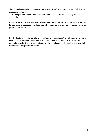Should an allegation be made against a member of staff or volunteer, then the following procedure will be taken :

 Allegation to be notified to a senior member of staff for full investigation to take place.

It may be necessary on occasion during lesson times to seek physical contact with a pupil for correctional purposes only. Teachers will request permission from all pupils before any physical contact is made.

Heatherlea School of Dance is fully committed to safeguarding the well being of its pupils. Every individual in Heatherlea School of Dance should at all times show respect and understanding for their rights, safety and welfare, and conduct themselves in a way that reflects the principles of the school.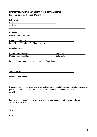#### **HEATHERLEA SCHOOL OF DANCE PUPIL INFORMATION**

#### **For completion by the parent/guardian**

| Address : Address :                                                                                                                                                                                                            |                                                                                                                                                                                                                                |  |
|--------------------------------------------------------------------------------------------------------------------------------------------------------------------------------------------------------------------------------|--------------------------------------------------------------------------------------------------------------------------------------------------------------------------------------------------------------------------------|--|
|                                                                                                                                                                                                                                |                                                                                                                                                                                                                                |  |
| the control of the control of the control of the control of the control of the control of the control of the control of the control of the control of the control of the control of the control of the control of the control  |                                                                                                                                                                                                                                |  |
|                                                                                                                                                                                                                                |                                                                                                                                                                                                                                |  |
| Parent/Guardian Names : Names : Name and Separate and Separate and Separate and Separate and Separate and Separate and Separate and Separate and Separate and Separate and Separate and Separate and Separate and Separate and |                                                                                                                                                                                                                                |  |
|                                                                                                                                                                                                                                |                                                                                                                                                                                                                                |  |
| Home Telephone No : Note and the Contract of the Contract of the Contract of the Contract of the Contract of the Contract of the Contract of the Contract of the Contract of the Contract of the Contract of the Contract of t |                                                                                                                                                                                                                                |  |
| Pupil Mobile Telephone No (if applicable): Notice of the state of the state of the state of the state of the state of the state of the state of the state of the state of the state of the state of the state of the state of  |                                                                                                                                                                                                                                |  |
|                                                                                                                                                                                                                                |                                                                                                                                                                                                                                |  |
| E-Mail Address : The Contract of the Contract of the Contract of the Contract of the Contract of the Contract of the Contract of the Contract of the Contract of the Contract of the Contract of the Contract of the Contract  |                                                                                                                                                                                                                                |  |
|                                                                                                                                                                                                                                |                                                                                                                                                                                                                                |  |
| Mobile Telephone No: Noted that the state of the state of the state of the state of the state of the state of the state of the state of the state of the state of the state of the state of the state of the state of the stat | belongs to: Note and the set of the set of the set of the set of the set of the set of the set of the set of the set of the set of the set of the set of the set of the set of the set of the set of the set of the set of the |  |
| Mobile Telephone No: Noted to the Mobile Telephone No:                                                                                                                                                                         | belongs to: Note and the set of the set of the set of the set of the set of the set of the set of the set of the set of the set of the set of the set of the set of the set of the set of the set of the set of the set of the |  |
| Emergency Contact - other than Parents / Guardians :                                                                                                                                                                           |                                                                                                                                                                                                                                |  |
|                                                                                                                                                                                                                                |                                                                                                                                                                                                                                |  |
|                                                                                                                                                                                                                                |                                                                                                                                                                                                                                |  |
|                                                                                                                                                                                                                                |                                                                                                                                                                                                                                |  |
| Telephone No: Telephone No:                                                                                                                                                                                                    |                                                                                                                                                                                                                                |  |
|                                                                                                                                                                                                                                |                                                                                                                                                                                                                                |  |
|                                                                                                                                                                                                                                |                                                                                                                                                                                                                                |  |
|                                                                                                                                                                                                                                |                                                                                                                                                                                                                                |  |
|                                                                                                                                                                                                                                |                                                                                                                                                                                                                                |  |
|                                                                                                                                                                                                                                |                                                                                                                                                                                                                                |  |
| On occasion it may be necessary to administer basic first aid treatment including the use of                                                                                                                                   |                                                                                                                                                                                                                                |  |

plasters, if your child is unable to wear plasters please can you indicate in the space provided : www.assett.com/www.assett.com/www.assett.com/www.assett.com/www.assett.com/www.assett.com/www.asset

I acknowledge receipt of this form and confirm that the information provided is as accurate as possible.

Signed : state of the state of the state of the state of the state of the state of the state of the state of the state of the state of the state of the state of the state of the state of the state of the state of the state

Date : the state of the state of the state of the state of the state of the state of the state of the state of the state of the state of the state of the state of the state of the state of the state of the state of the sta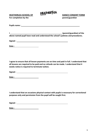| <b>HEATHER SEA</b> |  |
|--------------------|--|
|                    |  |
|                    |  |

HEATHERLEA SCHOOL OF Dance Lib **DANCE CONSENT FORM** 

For completion by the **parent/guardian** 

**Pupils name :**

**I (parent/guardian) of the above named pupil have read and understood the school's policies and procedures.**

**Signed :** 

**Date :**

**I agree to ensure that all lesson payments are on time and paid in full. I understand that all lessons are required to be paid and no refunds can be made. I understand that 4 weeks notice is required to terminate tuition.**

**Signed : Signed :** *Signed :* 

**Date :**

**I understand that on occasions physical contact with pupils is necessary for correctional purposes only and permission from the pupil will be sought first.**

**Signed :** 

**Date :**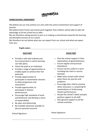

#### **HOME/SCHOOL AGREEMENT**

We believe we can only achieve our aims with the active involvement and support of parents.

We believe that if home and school work together then children will be able to take full advantage of all the school has to offer.

We are therefore asking parents to join us in making a commitment towards the learning and discipline process at our school.

We therefore set out below what you can expect from our school and what we expect from you.

**Pupils name :**

#### **OUR PART**

- Provide a safe well-ordered and fun environment in which learning can take place.
- Value the pupil as an individual.
- Provide a range of opportunities to enable pupils to achieve their full potential.
- Provide opportunities to participate in examination sessions to allow progression and assessment.
- Provide opportunities to participate in theatre performances.
- Encourage high standards of work and behaviour and develop a sense of responsibility.
- Be open and welcoming.
- Be available whenever possible to discuss parental concerns.

#### **YOUR PART**

- o Give the school support in their expectations of good behaviour.
- o Ensure regular and punctual attendance.
- o Ensure correct uniform is worn including hair tied in a secure hairstyle.
- o Make early contact with school when there are worries and problems.
- o Encourage their child to practise when necessary i.e. preparing for examinations or forthcoming theatre performances.
- o Accept the school's ideals and give positive support to all staff.
- o Give general support to all the schools activities.

School Signature :

Home Signature :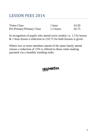## LESSON FEES 2014

| <b>Tinies Class</b>              | 1 hour    | £4.50 |
|----------------------------------|-----------|-------|
| <b>Pre-Primary/Primary Class</b> | 1.5 hours | £6.75 |

In recognition of pupils who attend twice weekly i.e. 1.5 hr lesson & 1 hour lesson a reduction to £10.75 for both lessons is given.

Where two or more members attend of the same family attend classes a reduction of 15% is offered to those when making payment via a monthly standing order.

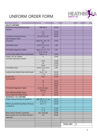## UNIFORM ORDER FORM



| <b>ITEM</b>                                           | <b>SIZES</b>                         | <b>PRICE</b> | <b>SIZE REQUIRED</b> | <b>QTY</b>         | <b>COST</b> |
|-------------------------------------------------------|--------------------------------------|--------------|----------------------|--------------------|-------------|
| <b>BALLET UNIFORM</b>                                 |                                      |              |                      |                    |             |
| Tinies/Pre-Primary/Primary Lilac                      | 000, 00, 0                           | 14.50        |                      |                    |             |
| Leotard                                               |                                      |              |                      |                    |             |
|                                                       | 1, 2                                 | 15.50        |                      |                    |             |
|                                                       | 3a                                   | 16.50        |                      |                    |             |
| Tinies/Pre-Primary/Primary<br>Lilac Wrapover Skirt    | 18", 20", 22", 24"                   | 14.50        |                      |                    |             |
| Crossover                                             | Chest 18", 20", 22",<br>24''         | 12.50        |                      |                    |             |
| <b>Pink Ballet Socks</b>                              | 6-8.5, 9-12, 12.5-<br>3.5            | 2.00         |                      |                    |             |
| <b>Pink Ballet Regulation Tights</b>                  | Ages 3-5, 5-7, 7-9,<br>$9-11, 11-13$ | 3.95         |                      |                    |             |
| Leather/Satin Ballet Shoes with elastic               | Sizes 1 - 8                          | 12.50        |                      |                    |             |
| Grade 1 & 2 & 3 Ballet<br>Lavendar Sleeveless leotard | $\Omega$                             | 13.90        |                      |                    |             |
|                                                       | 1 & 2                                | 15.00        |                      |                    |             |
|                                                       | 3a                                   | 15.90        |                      |                    |             |
|                                                       | 3 & 4                                | 17.50        |                      |                    |             |
| <b>Pink Ballet Socks</b>                              | 6-8.5, 9-12, 12.5-<br>3.5            | 2.00         |                      |                    |             |
| Leather/Satin Ballet Shoes with elastic               | $Sm 8 - 13$                          | 10.50        |                      |                    |             |
|                                                       | $1 - 8$                              | 12.50        |                      |                    |             |
| <b>Grade 4 &amp; 5</b><br><b>Teal Leotard</b>         | 1&2                                  | 15.00        |                      |                    |             |
|                                                       | 3a                                   | 16.50        |                      |                    |             |
|                                                       | 3                                    | 18.50        |                      |                    |             |
|                                                       | $\overline{a}$                       | 18.90        |                      |                    |             |
| <b>Pink Ballet Regulation Tights</b>                  | 8-10, 10-12yrs                       | 8.95         |                      |                    |             |
|                                                       | S, M, L, XL                          | 8.95         |                      |                    |             |
| <b>Satin Ribboned Ballet Shoes</b>                    | $1 - 8$                              | 13.50        |                      |                    |             |
| <b>Canvas Split Sole Ballet Shoes</b>                 | $1-8$                                | 14.50        |                      |                    |             |
| <b>MODERN &amp; TAP UNIFORM</b>                       |                                      |              |                      |                    |             |
| Purple Catsuit (Primary to Grade 4)                   | 000, 00, 0, 1, 2, 3a                 | 16.25        |                      |                    |             |
|                                                       | 3, 4, 5, 6                           | 23.50        |                      |                    |             |
| White Low Heeled Tap Shoes (Primary<br>to Grade 4)    | $Sm 7 - 1$                           | 16.50        |                      |                    |             |
|                                                       | $2 - 5$                              | 17.50        |                      |                    |             |
|                                                       | $6 - 8$                              | 21.95        |                      |                    |             |
| Black Catsuit (Grade 4 upwards)                       | Sm, med, Ige                         | 25.99        |                      |                    |             |
| Black Leather Jazz Tap Shoes (Grade 5<br>upwards)     | $1-8$                                | 36.00        |                      |                    |             |
|                                                       |                                      |              |                      |                    |             |
|                                                       |                                      |              |                      |                    |             |
|                                                       |                                      |              | <b>TOTAL COST</b>    | $\pmb{\mathsf{f}}$ |             |
|                                                       |                                      |              |                      |                    |             |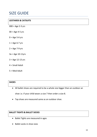### SIZE GUIDE

#### **LEOTARDS & CATSUITS**

- $000 = Age 2-3 yrs$
- $00 = Age 4-5 yrs$
- $0 = Age 5-6 yrs$
- $1 = Age 6-7 yrs$
- $2 = Age 7-9 yrs$
- 3a = Age 10-11yrs
- $3 = Age 12-13 yrs$
- 4 = Small Adult
- 5 = Med Adult

| <b>SHOES</b>                                                                 |  |
|------------------------------------------------------------------------------|--|
| • All ballet shoes are required to be a whole size bigger than an outdoor an |  |

shoe i.e. if your child wears a size 7 then order a size 8.

Tap shoes are measured same as an outdoor shoe.

#### **BALLET TIGHTS & BALLET SOCKS**

- Ballet Tights are measured in ages
- Ballet socks in shoe sizes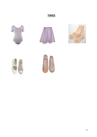### **TINIES**